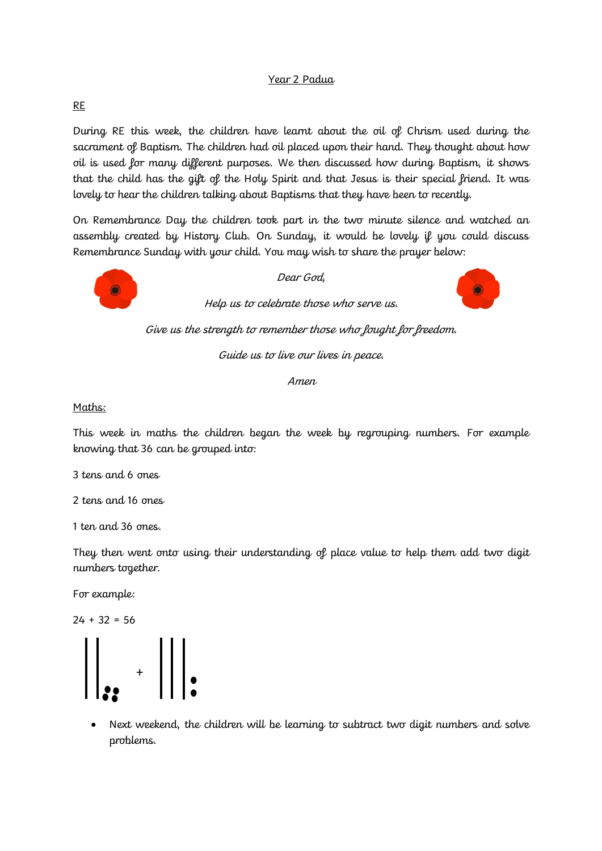## Year 2 Padua

## RE

During RE this week, the children have learnt about the oil of Chrism used during the sacrament of Baptism. The children had oil placed upon their hand. They thought about how oil is used for many different purposes. We then discussed how during Baptism, it shows that the child has the gift of the Holy Spirit and that Jesus is their special friend. It was lovely to hear the children talking about Baptisms that they have been to recently.

On Remembrance Day the children took part in the two minute silence and watched an assembly created by History Club. On Sunday, it would be lovely if you could discuss Remembrance Sunday with your child. You may wish to share the prayer below:



Dear God,

Help us to celebrate those who serve us.



Give us the strength to remember those who fought for freedom.

Guide us to live our lives in peace.

Amen

## Maths:

This week in maths the children began the week by regrouping numbers. For example knowing that 36 can be grouped into:

3 tens and 6 ones

2 tens and 16 ones

1 ten and 36 ones.

They then went onto using their understanding of place value to help them add two digit numbers together.

For example:

 $24 + 32 = 56$ 



 Next weekend, the children will be learning to subtract two digit numbers and solve problems.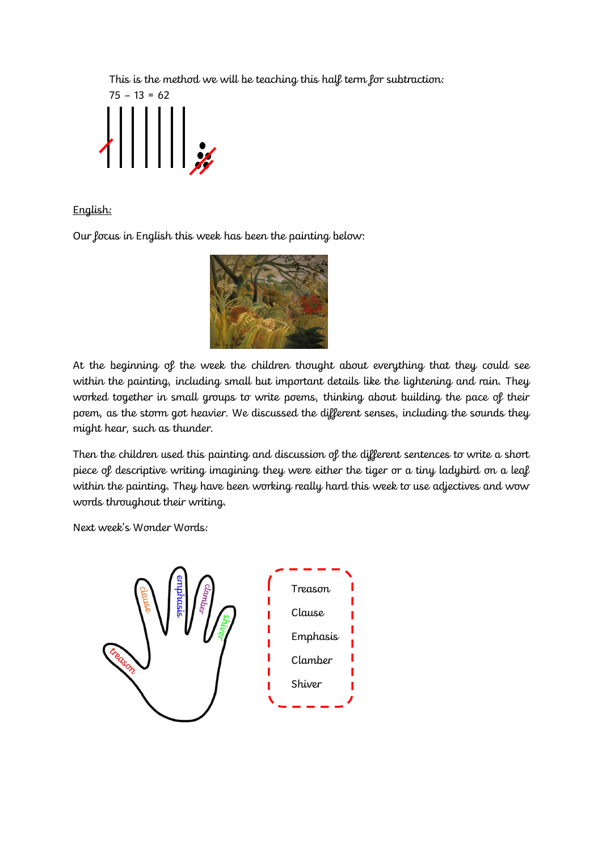This is the method we will be teaching this half term for subtraction:



English:

Our focus in English this week has been the painting below:



At the beginning of the week the children thought about everything that they could see within the painting, including small but important details like the lightening and rain. They worked together in small groups to write poems, thinking about building the pace of their poem, as the storm got heavier. We discussed the different senses, including the sounds they might hear, such as thunder.

Then the children used this painting and discussion of the different sentences to write a short piece of descriptive writing imagining they were either the tiger or a tiny ladybird on a leaf within the painting. They have been working really hard this week to use adjectives and wow words throughout their writing.

Next week's Wonder Words: